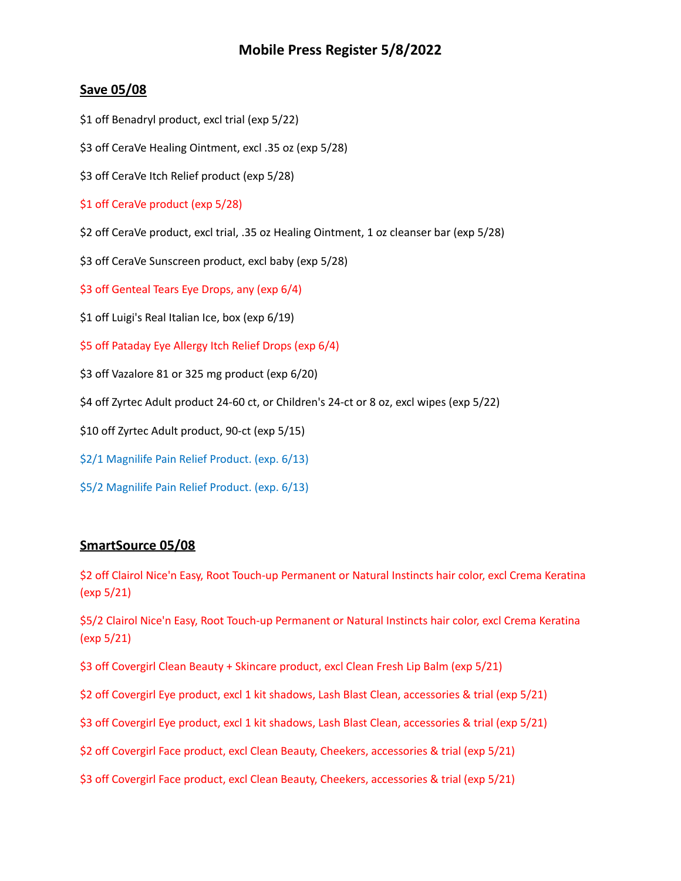## **Mobile Press Register 5/8/2022**

## **Save 05/08**

- \$1 off Benadryl product, excl trial (exp 5/22)
- \$3 off CeraVe Healing Ointment, excl .35 oz (exp 5/28)
- \$3 off CeraVe Itch Relief product (exp 5/28)
- \$1 off CeraVe product (exp 5/28)
- \$2 off CeraVe product, excl trial, .35 oz Healing Ointment, 1 oz cleanser bar (exp 5/28)
- \$3 off CeraVe Sunscreen product, excl baby (exp 5/28)
- \$3 off Genteal Tears Eye Drops, any (exp 6/4)
- \$1 off Luigi's Real Italian Ice, box (exp 6/19)
- \$5 off Pataday Eye Allergy Itch Relief Drops (exp 6/4)
- \$3 off Vazalore 81 or 325 mg product (exp 6/20)
- \$4 off Zyrtec Adult product 24-60 ct, or Children's 24-ct or 8 oz, excl wipes (exp 5/22)
- \$10 off Zyrtec Adult product, 90-ct (exp 5/15)
- \$2/1 Magnilife Pain Relief Product. (exp. 6/13)
- \$5/2 Magnilife Pain Relief Product. (exp. 6/13)

## **SmartSource 05/08**

\$2 off Clairol Nice'n Easy, Root Touch-up Permanent or Natural Instincts hair color, excl Crema Keratina (exp 5/21)

\$5/2 Clairol Nice'n Easy, Root Touch-up Permanent or Natural Instincts hair color, excl Crema Keratina (exp 5/21)

\$3 off Covergirl Clean Beauty + Skincare product, excl Clean Fresh Lip Balm (exp 5/21)

- \$2 off Covergirl Eye product, excl 1 kit shadows, Lash Blast Clean, accessories & trial (exp 5/21)
- \$3 off Covergirl Eye product, excl 1 kit shadows, Lash Blast Clean, accessories & trial (exp 5/21)
- \$2 off Covergirl Face product, excl Clean Beauty, Cheekers, accessories & trial (exp 5/21)
- \$3 off Covergirl Face product, excl Clean Beauty, Cheekers, accessories & trial (exp 5/21)